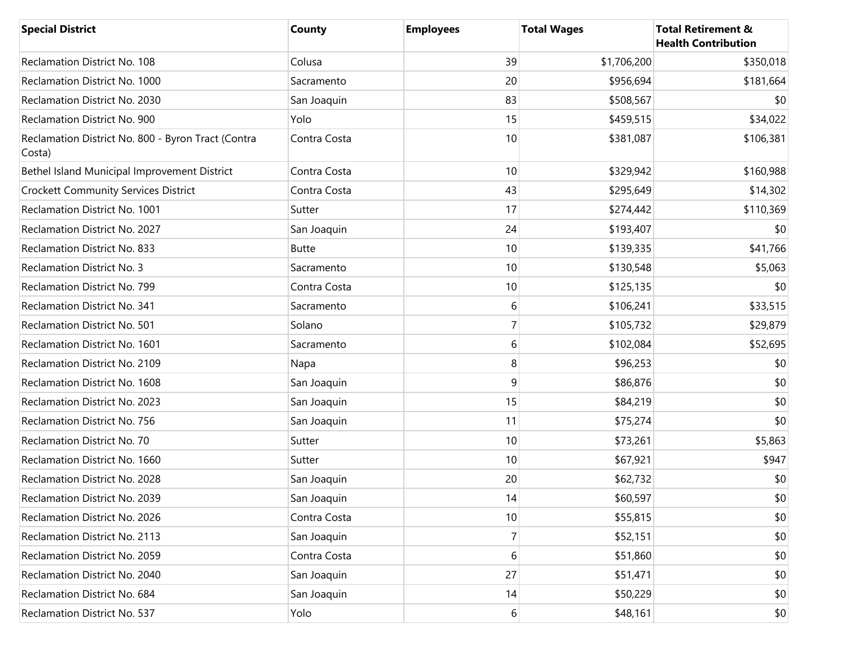| <b>Special District</b>                                      | <b>County</b> | <b>Employees</b> | <b>Total Wages</b> | <b>Total Retirement &amp;</b><br><b>Health Contribution</b> |
|--------------------------------------------------------------|---------------|------------------|--------------------|-------------------------------------------------------------|
| Reclamation District No. 108                                 | Colusa        | 39               | \$1,706,200        | \$350,018                                                   |
| Reclamation District No. 1000                                | Sacramento    | 20               | \$956,694          | \$181,664                                                   |
| Reclamation District No. 2030                                | San Joaquin   | 83               | \$508,567          | \$0                                                         |
| Reclamation District No. 900                                 | Yolo          | 15               | \$459,515          | \$34,022                                                    |
| Reclamation District No. 800 - Byron Tract (Contra<br>Costa) | Contra Costa  | 10               | \$381,087          | \$106,381                                                   |
| Bethel Island Municipal Improvement District                 | Contra Costa  | 10               | \$329,942          | \$160,988                                                   |
| <b>Crockett Community Services District</b>                  | Contra Costa  | 43               | \$295,649          | \$14,302                                                    |
| Reclamation District No. 1001                                | Sutter        | 17               | \$274,442          | \$110,369                                                   |
| Reclamation District No. 2027                                | San Joaquin   | 24               | \$193,407          | \$0                                                         |
| Reclamation District No. 833                                 | <b>Butte</b>  | 10               | \$139,335          | \$41,766                                                    |
| <b>Reclamation District No. 3</b>                            | Sacramento    | 10               | \$130,548          | \$5,063                                                     |
| Reclamation District No. 799                                 | Contra Costa  | 10               | \$125,135          | \$0                                                         |
| Reclamation District No. 341                                 | Sacramento    | 6                | \$106,241          | \$33,515                                                    |
| Reclamation District No. 501                                 | Solano        | $\overline{7}$   | \$105,732          | \$29,879                                                    |
| Reclamation District No. 1601                                | Sacramento    | 6                | \$102,084          | \$52,695                                                    |
| Reclamation District No. 2109                                | Napa          | 8                | \$96,253           | \$0                                                         |
| Reclamation District No. 1608                                | San Joaquin   | 9                | \$86,876           | \$0                                                         |
| Reclamation District No. 2023                                | San Joaquin   | 15               | \$84,219           | \$0                                                         |
| Reclamation District No. 756                                 | San Joaquin   | 11               | \$75,274           | \$0                                                         |
| Reclamation District No. 70                                  | Sutter        | 10               | \$73,261           | \$5,863                                                     |
| Reclamation District No. 1660                                | Sutter        | 10               | \$67,921           | \$947                                                       |
| Reclamation District No. 2028                                | San Joaquin   | 20               | \$62,732           | \$0                                                         |
| Reclamation District No. 2039                                | San Joaquin   | 14               | \$60,597           | $$0$$                                                       |
| Reclamation District No. 2026                                | Contra Costa  | 10               | \$55,815           | \$0                                                         |
| Reclamation District No. 2113                                | San Joaquin   | $\overline{7}$   | \$52,151           | \$0                                                         |
| Reclamation District No. 2059                                | Contra Costa  | 6                | \$51,860           | \$0                                                         |
| Reclamation District No. 2040                                | San Joaquin   | 27               | \$51,471           | \$0                                                         |
| Reclamation District No. 684                                 | San Joaquin   | 14               | \$50,229           | \$0                                                         |
| Reclamation District No. 537                                 | Yolo          | $6 \mid$         | \$48,161           | \$0                                                         |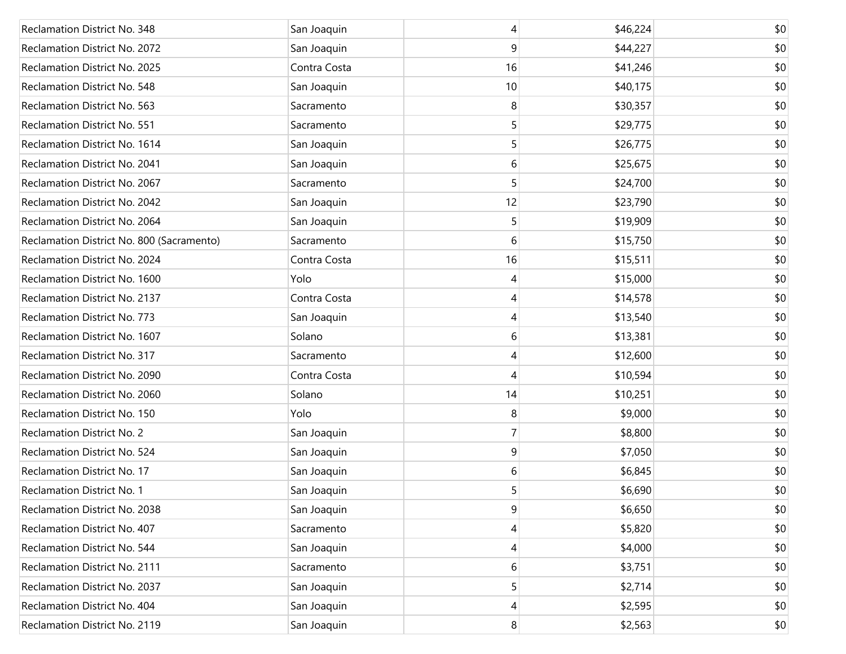| Reclamation District No. 348              | San Joaquin  | 4              | \$46,224 | \$0 |
|-------------------------------------------|--------------|----------------|----------|-----|
| Reclamation District No. 2072             | San Joaquin  | 9              | \$44,227 | \$0 |
| Reclamation District No. 2025             | Contra Costa | 16             | \$41,246 | \$0 |
| Reclamation District No. 548              | San Joaquin  | 10             | \$40,175 | \$0 |
| Reclamation District No. 563              | Sacramento   | 8              | \$30,357 | \$0 |
| Reclamation District No. 551              | Sacramento   | 5              | \$29,775 | \$0 |
| Reclamation District No. 1614             | San Joaquin  | 5              | \$26,775 | \$0 |
| Reclamation District No. 2041             | San Joaquin  | 6              | \$25,675 | \$0 |
| Reclamation District No. 2067             | Sacramento   | 5              | \$24,700 | \$0 |
| Reclamation District No. 2042             | San Joaquin  | 12             | \$23,790 | \$0 |
| Reclamation District No. 2064             | San Joaquin  | 5              | \$19,909 | \$0 |
| Reclamation District No. 800 (Sacramento) | Sacramento   | 6              | \$15,750 | \$0 |
| Reclamation District No. 2024             | Contra Costa | 16             | \$15,511 | \$0 |
| Reclamation District No. 1600             | Yolo         | 4              | \$15,000 | \$0 |
| Reclamation District No. 2137             | Contra Costa | 4              | \$14,578 | \$0 |
| Reclamation District No. 773              | San Joaquin  | 4              | \$13,540 | \$0 |
| Reclamation District No. 1607             | Solano       | 6              | \$13,381 | \$0 |
| Reclamation District No. 317              | Sacramento   | 4              | \$12,600 | \$0 |
| Reclamation District No. 2090             | Contra Costa | 4              | \$10,594 | \$0 |
| Reclamation District No. 2060             | Solano       | 14             | \$10,251 | \$0 |
| Reclamation District No. 150              | Yolo         | 8              | \$9,000  | \$0 |
| <b>Reclamation District No. 2</b>         | San Joaquin  | $\overline{7}$ | \$8,800  | \$0 |
| Reclamation District No. 524              | San Joaquin  | 9              | \$7,050  | \$0 |
| Reclamation District No. 17               | San Joaquin  | 6              | \$6,845  | \$0 |
| <b>Reclamation District No. 1</b>         | San Joaquin  | 5              | \$6,690  | \$0 |
| Reclamation District No. 2038             | San Joaquin  | 9              | \$6,650  | \$0 |
| Reclamation District No. 407              | Sacramento   | 4              | \$5,820  | \$0 |
| Reclamation District No. 544              | San Joaquin  | 4              | \$4,000  | \$0 |
| Reclamation District No. 2111             | Sacramento   | 6              | \$3,751  | \$0 |
| Reclamation District No. 2037             | San Joaquin  | 5              | \$2,714  | \$0 |
| Reclamation District No. 404              | San Joaquin  | 4              | \$2,595  | \$0 |
| Reclamation District No. 2119             | San Joaquin  | 8              | \$2,563  | \$0 |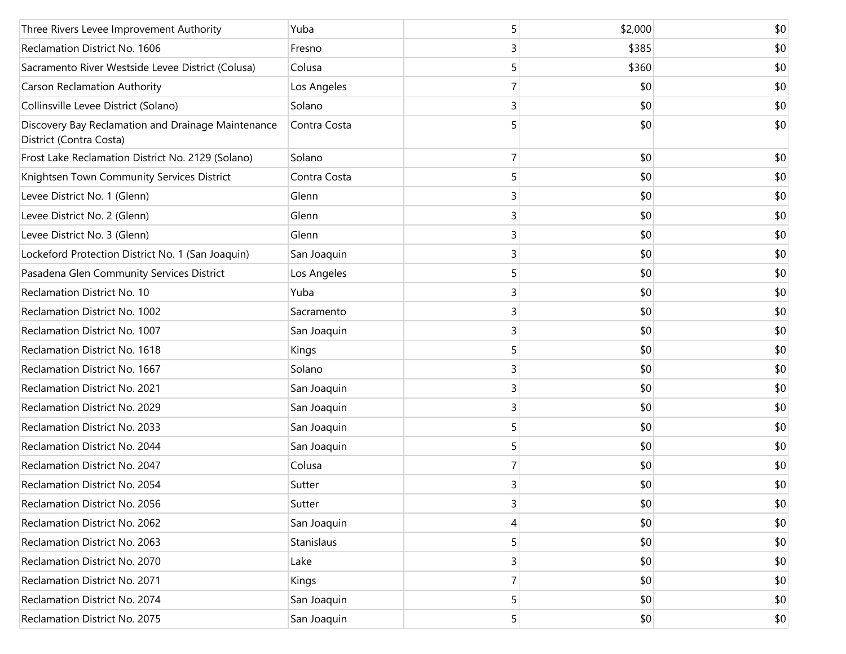| Three Rivers Levee Improvement Authority                                      | Yuba         | 5              | \$2,000 | \$0 |
|-------------------------------------------------------------------------------|--------------|----------------|---------|-----|
| Reclamation District No. 1606                                                 | Fresno       | 3              | \$385   | \$0 |
| Sacramento River Westside Levee District (Colusa)                             | Colusa       | 5              | \$360   | \$0 |
| <b>Carson Reclamation Authority</b>                                           | Los Angeles  | 7              | \$0     | \$0 |
| Collinsville Levee District (Solano)                                          | Solano       | $\overline{3}$ | \$0     | \$0 |
| Discovery Bay Reclamation and Drainage Maintenance<br>District (Contra Costa) | Contra Costa | 5              | \$0     | \$0 |
| Frost Lake Reclamation District No. 2129 (Solano)                             | Solano       | 7              | \$0     | \$0 |
| Knightsen Town Community Services District                                    | Contra Costa | 5              | \$0     | \$0 |
| Levee District No. 1 (Glenn)                                                  | Glenn        | 3              | \$0     | \$0 |
| Levee District No. 2 (Glenn)                                                  | Glenn        | 3              | \$0     | \$0 |
| Levee District No. 3 (Glenn)                                                  | Glenn        | 3              | \$0     | \$0 |
| Lockeford Protection District No. 1 (San Joaquin)                             | San Joaquin  | 3              | \$0     | \$0 |
| Pasadena Glen Community Services District                                     | Los Angeles  | 5              | \$0     | \$0 |
| Reclamation District No. 10                                                   | Yuba         | 3              | \$0     | \$0 |
| Reclamation District No. 1002                                                 | Sacramento   | 3              | \$0     | \$0 |
| Reclamation District No. 1007                                                 | San Joaquin  | 3              | \$0     | \$0 |
| Reclamation District No. 1618                                                 | Kings        | 5              | \$0     | \$0 |
| Reclamation District No. 1667                                                 | Solano       | 3              | \$0     | \$0 |
| Reclamation District No. 2021                                                 | San Joaquin  | 3              | \$0     | \$0 |
| Reclamation District No. 2029                                                 | San Joaquin  | 3              | \$0     | \$0 |
| Reclamation District No. 2033                                                 | San Joaquin  | 5              | \$0     | \$0 |
| Reclamation District No. 2044                                                 | San Joaquin  | 5              | \$0     | \$0 |
| Reclamation District No. 2047                                                 | Colusa       | 7              | \$0     | \$0 |
| Reclamation District No. 2054                                                 | Sutter       | $\overline{3}$ | \$0     | \$0 |
| Reclamation District No. 2056                                                 | Sutter       | $\mathsf{3}$   | \$0     | \$0 |
| Reclamation District No. 2062                                                 | San Joaquin  | 4              | \$0     | \$0 |
| Reclamation District No. 2063                                                 | Stanislaus   | 5              | \$0     | \$0 |
| Reclamation District No. 2070                                                 | Lake         | 3              | \$0     | \$0 |
| Reclamation District No. 2071                                                 | Kings        | 7              | \$0     | \$0 |
| Reclamation District No. 2074                                                 | San Joaquin  | 5              | \$0     | \$0 |
| Reclamation District No. 2075                                                 | San Joaquin  | 5              | \$0     | \$0 |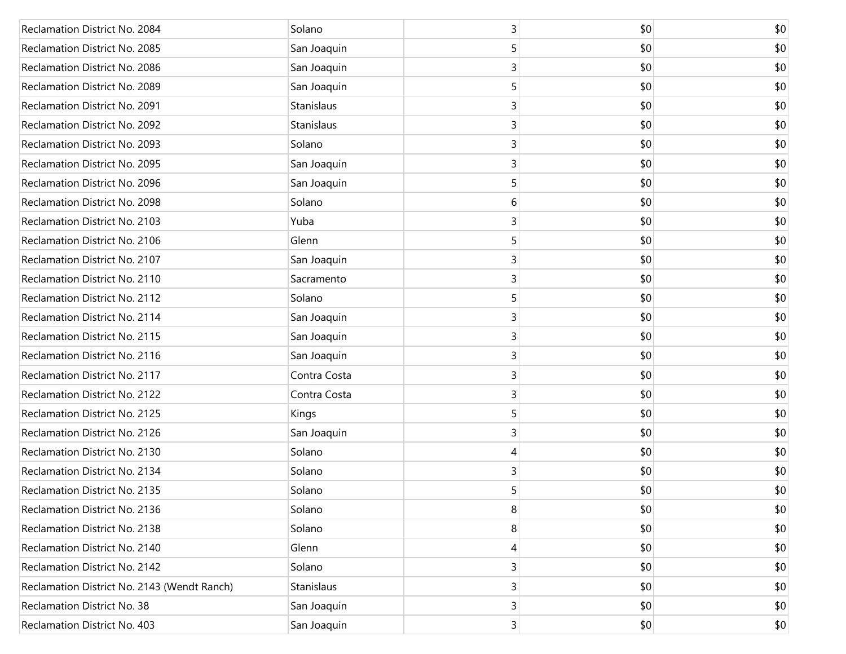| Reclamation District No. 2084               | Solano       | 3                       | \$0 | \$0 |
|---------------------------------------------|--------------|-------------------------|-----|-----|
| Reclamation District No. 2085               | San Joaquin  | 5                       | \$0 | \$0 |
| Reclamation District No. 2086               | San Joaquin  | 3                       | \$0 | \$0 |
| Reclamation District No. 2089               | San Joaquin  | 5                       | \$0 | \$0 |
| Reclamation District No. 2091               | Stanislaus   | 3                       | \$0 | \$0 |
| Reclamation District No. 2092               | Stanislaus   | 3                       | \$0 | \$0 |
| Reclamation District No. 2093               | Solano       | 3                       | \$0 | \$0 |
| Reclamation District No. 2095               | San Joaquin  | 3                       | \$0 | \$0 |
| Reclamation District No. 2096               | San Joaquin  | 5                       | \$0 | \$0 |
| Reclamation District No. 2098               | Solano       | 6                       | \$0 | \$0 |
| Reclamation District No. 2103               | Yuba         | 3                       | \$0 | \$0 |
| Reclamation District No. 2106               | Glenn        | 5                       | \$0 | \$0 |
| Reclamation District No. 2107               | San Joaquin  | 3                       | \$0 | \$0 |
| Reclamation District No. 2110               | Sacramento   | 3                       | \$0 | \$0 |
| Reclamation District No. 2112               | Solano       | 5                       | \$0 | \$0 |
| Reclamation District No. 2114               | San Joaquin  | 3                       | \$0 | \$0 |
| Reclamation District No. 2115               | San Joaquin  | 3                       | \$0 | \$0 |
| Reclamation District No. 2116               | San Joaquin  | 3                       | \$0 | \$0 |
| Reclamation District No. 2117               | Contra Costa | 3                       | \$0 | \$0 |
| Reclamation District No. 2122               | Contra Costa | 3                       | \$0 | \$0 |
| Reclamation District No. 2125               | Kings        | 5                       | \$0 | \$0 |
| Reclamation District No. 2126               | San Joaquin  | 3                       | \$0 | \$0 |
| Reclamation District No. 2130               | Solano       | 4                       | \$0 | \$0 |
| Reclamation District No. 2134               | Solano       | 3                       | \$0 | \$0 |
| Reclamation District No. 2135               | Solano       | 5                       | \$0 | \$0 |
| Reclamation District No. 2136               | Solano       | 8                       | \$0 | \$0 |
| Reclamation District No. 2138               | Solano       | 8                       | \$0 | \$0 |
| Reclamation District No. 2140               | Glenn        | 4                       | \$0 | \$0 |
| Reclamation District No. 2142               | Solano       | 3                       | \$0 | \$0 |
| Reclamation District No. 2143 (Wendt Ranch) | Stanislaus   | 3                       | \$0 | \$0 |
| Reclamation District No. 38                 | San Joaquin  | $\overline{3}$          | \$0 | \$0 |
| Reclamation District No. 403                | San Joaquin  | $\overline{\mathbf{3}}$ | \$0 | \$0 |